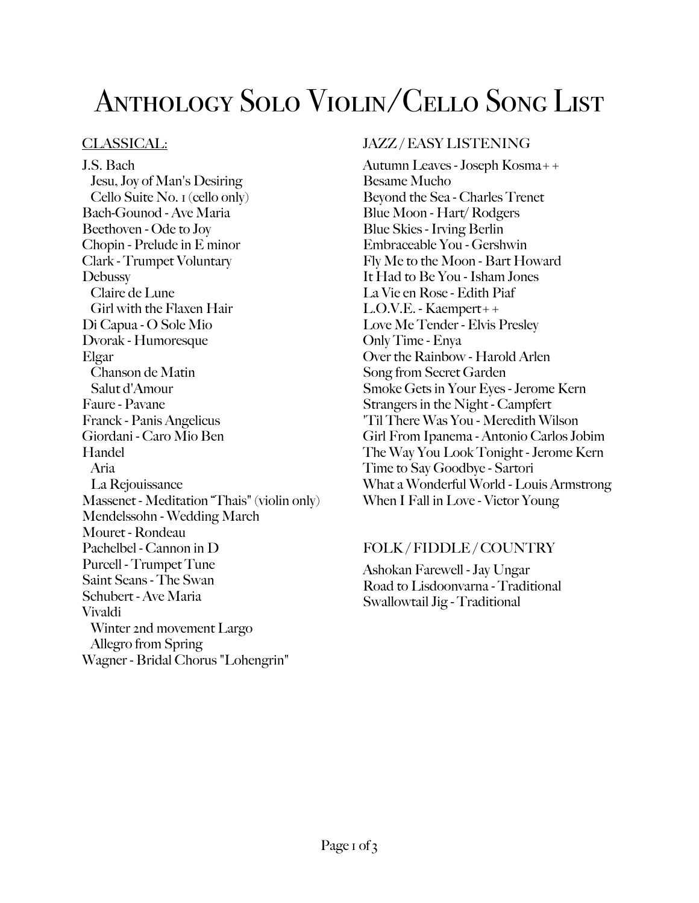# Anthology Solo Violin/Cello Song List

# CLASSICAL:

J.S. Bach Jesu, Joy of Man's Desiring Cello Suite No. 1 (cello only) Bach-Gounod - Ave Maria Beethoven - Ode to Joy Chopin - Prelude in E minor Clark - Trumpet Voluntary **Debussy** Claire de Lune Girl with the Flaxen Hair Di Capua - O Sole Mio Dvorak - Humoresque Elgar Chanson de Matin Salut d'Amour Faure - Pavane Franck - Panis Angelicus Giordani - Caro Mio Ben Handel Aria La Rejouissance Massenet - Meditation "Thais" (violin only) Mendelssohn - Wedding March Mouret - Rondeau Pachelbel - Cannon in D Purcell - Trumpet Tune Saint Seans - The Swan Schubert - Ave Maria Vivaldi Winter 2nd movement Largo Allegro from Spring Wagner - Bridal Chorus "Lohengrin"

# JAZZ / EASY LISTENING

Autumn Leaves - Joseph Kosma++ Besame Mucho Beyond the Sea - Charles Trenet Blue Moon - Hart/ Rodgers Blue Skies - Irving Berlin Embraceable You - Gershwin Fly Me to the Moon - Bart Howard It Had to Be You - Isham Jones La Vie en Rose - Edith Piaf L.O.V.E. - Kaempert++ Love Me Tender - Elvis Presley Only Time - Enya Over the Rainbow - Harold Arlen Song from Secret Garden Smoke Gets in Your Eyes - Jerome Kern Strangers in the Night - Campfert 'Til There Was You - Meredith Wilson Girl From Ipanema - Antonio Carlos Jobim The Way You Look Tonight - Jerome Kern Time to Say Goodbye - Sartori What a Wonderful World - Louis Armstrong When I Fall in Love - Victor Young

## FOLK / FIDDLE / COUNTRY

Ashokan Farewell - Jay Ungar Road to Lisdoonvarna - Traditional Swallowtail Jig - Traditional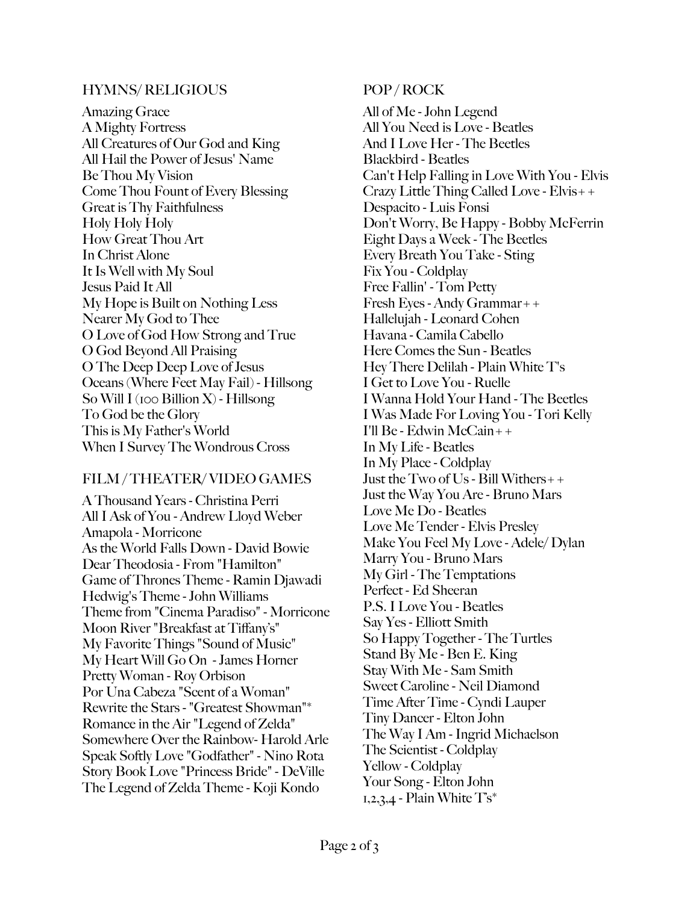#### HYMNS/ RELIGIOUS

Amazing Grace A Mighty Fortress All Creatures of Our God and King All Hail the Power of Jesus' Name Be Thou My Vision Come Thou Fount of Every Blessing Great is Thy Faithfulness Holy Holy Holy How Great Thou Art In Christ Alone It Is Well with My Soul Jesus Paid It All My Hope is Built on Nothing Less Nearer My God to Thee O Love of God How Strong and True O God Beyond All Praising O The Deep Deep Love of Jesus Oceans (Where Feet May Fail) - Hillsong So Will I (100 Billion X) - Hillsong To God be the Glory This is My Father's World When I Survey The Wondrous Cross

## FILM / THEATER/ VIDEO GAMES

A Thousand Years - Christina Perri All I Ask of You - Andrew Lloyd Weber Amapola - Morricone As the World Falls Down - David Bowie Dear Theodosia - From "Hamilton" Game of Thrones Theme - Ramin Djawadi Hedwig's Theme - John Williams Theme from "Cinema Paradiso" - Morricone Moon River "Breakfast at Tiffany's" My Favorite Things "Sound of Music" My Heart Will Go On - James Horner Pretty Woman - Roy Orbison Por Una Cabeza "Scent of a Woman" Rewrite the Stars - "Greatest Showman"\* Romance in the Air "Legend of Zelda" Somewhere Over the Rainbow- Harold Arle Speak Softly Love "Godfather" - Nino Rota Story Book Love "Princess Bride" - DeVille The Legend of Zelda Theme - Koji Kondo

## POP / ROCK

All of Me - John Legend All You Need is Love - Beatles And I Love Her - The Beetles Blackbird - Beatles Can't Help Falling in Love With You - Elvis Crazy Little Thing Called Love - Elvis++ Despacito - Luis Fonsi Don't Worry, Be Happy - Bobby McFerrin Eight Days a Week - The Beetles Every Breath You Take - Sting Fix You - Coldplay Free Fallin' - Tom Petty Fresh Eyes - Andy Grammar++ Hallelujah - Leonard Cohen Havana - Camila Cabello Here Comes the Sun - Beatles Hey There Delilah - Plain White T's I Get to Love You - Ruelle I Wanna Hold Your Hand - The Beetles I Was Made For Loving You - Tori Kelly I'll Be - Edwin McCain++ In My Life - Beatles In My Place - Coldplay Just the Two of Us - Bill Withers++ Just the Way You Are - Bruno Mars Love Me Do - Beatles Love Me Tender - Elvis Presley Make You Feel My Love - Adele/ Dylan Marry You - Bruno Mars My Girl - The Temptations Perfect - Ed Sheeran P.S. I Love You - Beatles Say Yes - Elliott Smith So Happy Together - The Turtles Stand By Me - Ben E. King Stay With Me - Sam Smith Sweet Caroline - Neil Diamond Time After Time - Cyndi Lauper Tiny Dancer - Elton John The Way I Am - Ingrid Michaelson The Scientist - Coldplay Yellow - Coldplay Your Song - Elton John  $1,2,3,4$  - Plain White  $T\mathbf{s}^*$